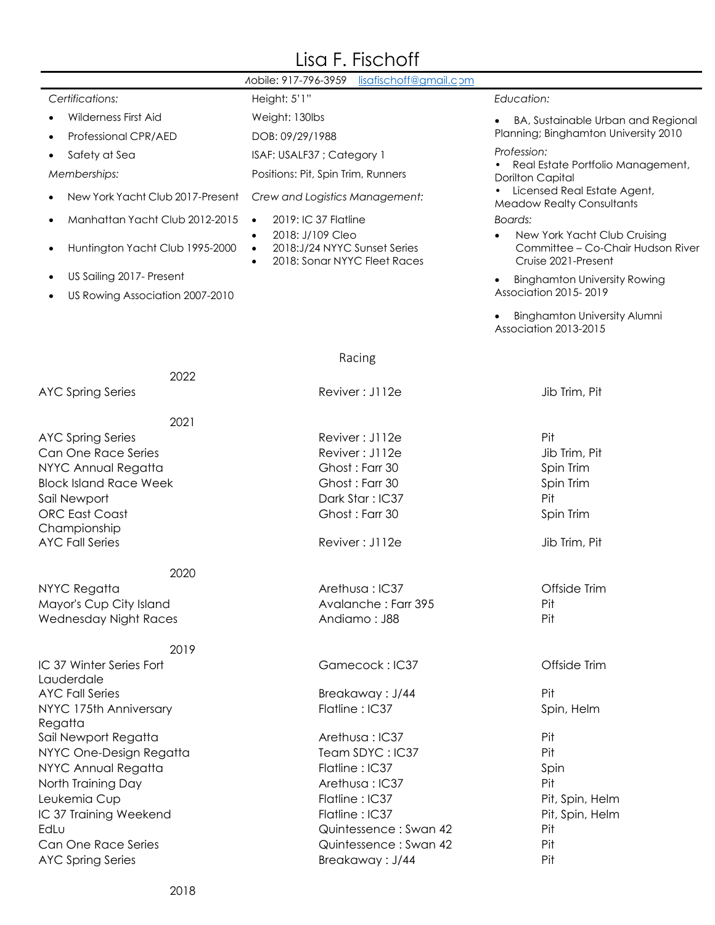## Lisa F. Fischoff

|                                              | Aobile: 917-796-3959<br>lisafischoff@gmail.com                                                             |                                                                                                       |
|----------------------------------------------|------------------------------------------------------------------------------------------------------------|-------------------------------------------------------------------------------------------------------|
| Certifications:                              | Height: 5'1"                                                                                               | Education:                                                                                            |
| Wilderness First Aid                         | Weight: 130lbs                                                                                             | BA, Sustainable Urban and Regional                                                                    |
| Professional CPR/AED                         | DOB: 09/29/1988                                                                                            | Planning; Binghamton University 2010                                                                  |
| Safety at Sea                                | ISAF: USALF37 ; Category 1                                                                                 | Profession:                                                                                           |
| Memberships:                                 | Positions: Pit, Spin Trim, Runners                                                                         | Real Estate Portfolio Management,<br><b>Dorilton Capital</b>                                          |
| New York Yacht Club 2017-Present             | Crew and Logistics Management:                                                                             | Licensed Real Estate Agent,<br><b>Meadow Realty Consultants</b>                                       |
| Manhattan Yacht Club 2012-2015<br>٠          | 2019: IC 37 Flatline<br>$\bullet$                                                                          | <b>Boards:</b>                                                                                        |
| Huntington Yacht Club 1995-2000<br>$\bullet$ | 2018: J/109 Cleo<br>$\bullet$<br>2018:J/24 NYYC Sunset Series<br>$\bullet$<br>2018: Sonar NYYC Fleet Races | New York Yacht Club Cruising<br>$\bullet$<br>Committee - Co-Chair Hudson River<br>Cruise 2021-Present |
| US Sailing 2017- Present<br>$\bullet$        |                                                                                                            | <b>Binghamton University Rowing</b>                                                                   |
| US Rowing Association 2007-2010              |                                                                                                            | Association 2015-2019                                                                                 |
|                                              |                                                                                                            | <b>Binghamton University Alumni</b><br>Association 2013-2015                                          |
|                                              | Racing                                                                                                     |                                                                                                       |
| 2022                                         |                                                                                                            |                                                                                                       |
| <b>AYC Spring Series</b>                     | Reviver: J112e                                                                                             | Jib Trim, Pit                                                                                         |
| 2021                                         |                                                                                                            |                                                                                                       |
| <b>AYC Spring Series</b>                     | Reviver: J112e                                                                                             | Pit                                                                                                   |
| Can One Race Series                          | Reviver: J112e                                                                                             | Jib Trim, Pit                                                                                         |
| NYYC Annual Regatta                          | Ghost: Farr 30                                                                                             | Spin Trim                                                                                             |
| <b>Block Island Race Week</b>                | Ghost: Farr 30                                                                                             | Spin Trim                                                                                             |
| Sail Newport                                 | Dark Star: IC37                                                                                            | Pit                                                                                                   |
| <b>ORC East Coast</b>                        | Ghost: Farr 30                                                                                             | Spin Trim                                                                                             |
| Championship                                 |                                                                                                            |                                                                                                       |
| <b>AYC Fall Series</b>                       | Reviver: J112e                                                                                             | Jib Trim, Pit                                                                                         |
| 2020                                         |                                                                                                            |                                                                                                       |
| NYYC Regatta                                 | Arethusa: IC37                                                                                             | Offside Trim                                                                                          |
| Mayor's Cup City Island                      | Avalanche: Farr 395                                                                                        | Pit                                                                                                   |
| Wednesday Night Races                        | Andiamo: J88                                                                                               | Pit                                                                                                   |
| 2019                                         |                                                                                                            |                                                                                                       |
| IC 37 Winter Series Fort                     | Gamecock: IC37                                                                                             | Offside Trim                                                                                          |
| Lauderdale                                   |                                                                                                            |                                                                                                       |
| <b>AYC Fall Series</b>                       | Breakaway: J/44                                                                                            | Pit                                                                                                   |
| NYYC 175th Anniversary                       | Flatline: IC37                                                                                             | Spin, Helm                                                                                            |
| Regatta                                      |                                                                                                            |                                                                                                       |
| Sail Newport Regatta                         | Arethusa: IC37                                                                                             | Pit                                                                                                   |
| NYYC One-Design Regatta                      | Team SDYC: IC37<br>Flatline: IC37                                                                          | Pit                                                                                                   |
| NYYC Annual Regatta<br>North Training Day    | Arethusa: IC37                                                                                             | Spin<br>Pit                                                                                           |
| Leukemia Cup                                 | Flatline: IC37                                                                                             | Pit, Spin, Helm                                                                                       |
| IC 37 Training Weekend                       | Flatline: IC37                                                                                             | Pit, Spin, Helm                                                                                       |
| EdLu                                         | Quintessence: Swan 42                                                                                      | Pit                                                                                                   |
| Can One Race Series                          | Quintessence: Swan 42                                                                                      | Pit                                                                                                   |
| <b>AYC Spring Series</b>                     | Breakaway: J/44                                                                                            | Pit                                                                                                   |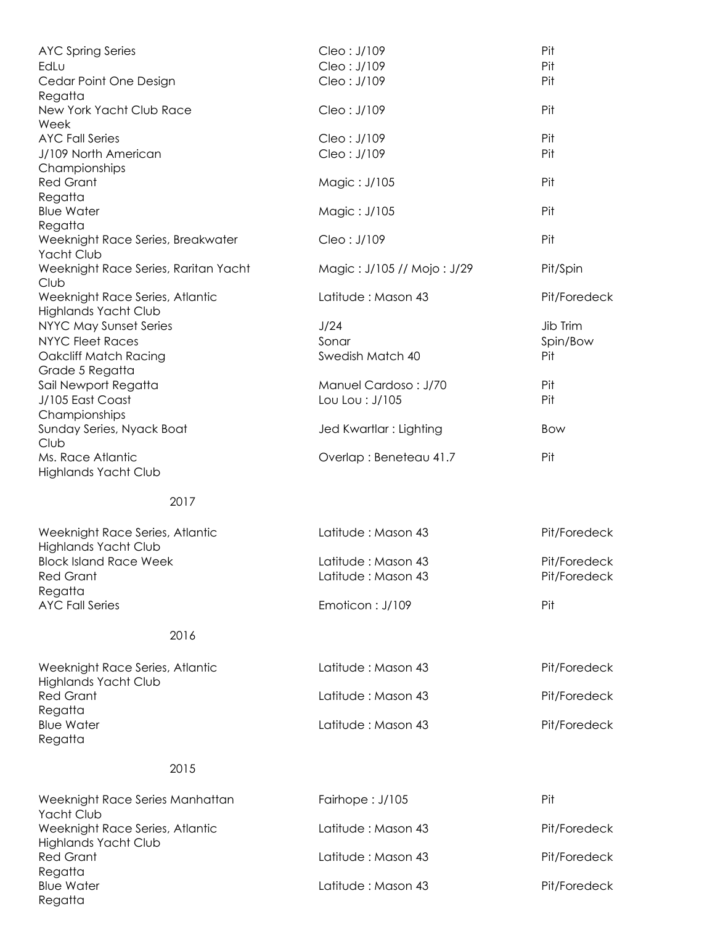| <b>AYC Spring Series</b>                                     | Cleo: J/109                | Pit          |
|--------------------------------------------------------------|----------------------------|--------------|
| EdLu                                                         | Cleo: J/109                | Pit          |
| Cedar Point One Design<br>Regatta                            | Cleo: J/109                | Pit          |
| New York Yacht Club Race<br>Week                             | Cleo: J/109                | Pit          |
| <b>AYC Fall Series</b>                                       | Cleo: J/109                | Pit          |
| J/109 North American                                         | Cleo: J/109                | Pit          |
| Championships                                                |                            |              |
| <b>Red Grant</b>                                             | Magic: J/105               | Pit          |
| Regatta                                                      |                            |              |
| <b>Blue Water</b>                                            | Magic: J/105               | Pit          |
| Regatta                                                      |                            |              |
| Weeknight Race Series, Breakwater                            | Cleo: J/109                | Pit          |
| Yacht Club                                                   |                            |              |
| Weeknight Race Series, Raritan Yacht                         | Magic: J/105 // Mojo: J/29 | Pit/Spin     |
| Club                                                         |                            |              |
| Weeknight Race Series, Atlantic                              | Latitude: Mason 43         | Pit/Foredeck |
| <b>Highlands Yacht Club</b>                                  |                            |              |
| NYYC May Sunset Series                                       | J/24                       | Jib Trim     |
| <b>NYYC Fleet Races</b>                                      | Sonar                      | Spin/Bow     |
| Oakcliff Match Racing                                        | Swedish Match 40           | Pit          |
| Grade 5 Regatta                                              |                            |              |
| Sail Newport Regatta                                         | Manuel Cardoso: J/70       | Pit          |
| J/105 East Coast                                             | Lou Lou : J/105            | Pit          |
| Championships                                                |                            |              |
| Sunday Series, Nyack Boat                                    | Jed Kwartlar : Lighting    | Bow          |
| Club                                                         |                            |              |
| Ms. Race Atlantic                                            | Overlap: Beneteau 41.7     | Pit          |
| <b>Highlands Yacht Club</b>                                  |                            |              |
|                                                              |                            |              |
| 2017                                                         |                            |              |
| Weeknight Race Series, Atlantic                              | Latitude: Mason 43         | Pit/Foredeck |
| <b>Highlands Yacht Club</b><br><b>Block Island Race Week</b> |                            | Pit/Foredeck |
|                                                              | Latitude: Mason 43         |              |
| <b>Red Grant</b><br>Regatta                                  | Latitude: Mason 43         | Pit/Foredeck |
| <b>AYC Fall Series</b>                                       | Emoticon: J/109            | Pit          |
|                                                              |                            |              |
| 2016                                                         |                            |              |
|                                                              |                            |              |
| Weeknight Race Series, Atlantic                              | Latitude: Mason 43         | Pit/Foredeck |
| <b>Highlands Yacht Club</b>                                  |                            |              |
| <b>Red Grant</b>                                             | Latitude: Mason 43         | Pit/Foredeck |
| Regatta                                                      |                            |              |
| <b>Blue Water</b>                                            | Latitude: Mason 43         | Pit/Foredeck |
| Regatta                                                      |                            |              |
|                                                              |                            |              |
| 2015                                                         |                            |              |
| Weeknight Race Series Manhattan<br>Yacht Club                | Fairhope: J/105            | Pit          |
| Weeknight Race Series, Atlantic                              | Latitude: Mason 43         | Pit/Foredeck |
|                                                              |                            |              |

Highlands Yacht Club Red Grant Regatta Latitude : Mason 43 Pit/Foredeck

Blue Water Regatta

Latitude : Mason 43 Pit/Foredeck